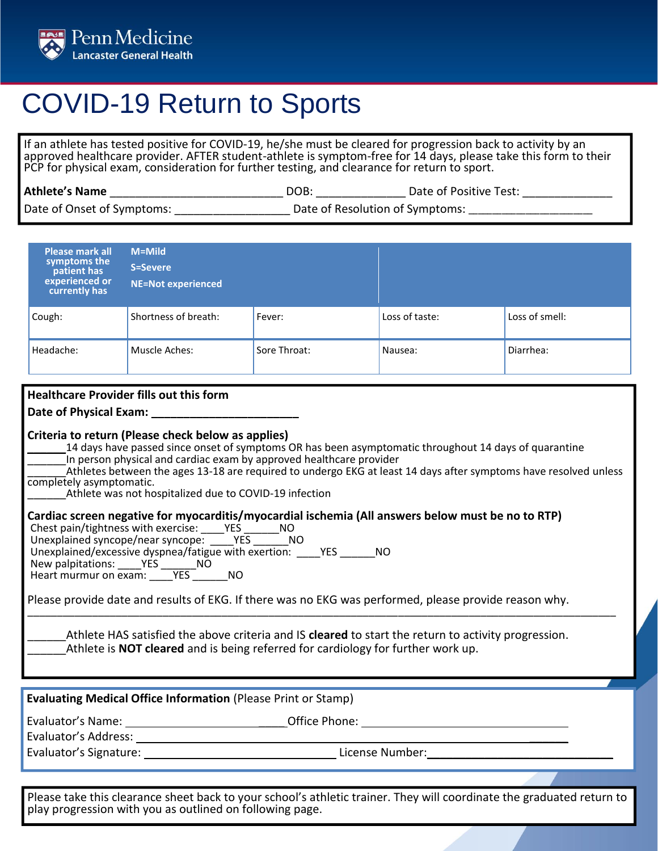

## COVID-19 Return to Sports

If an athlete has tested positive for COVID-19, he/she must be cleared for progression back to activity by an approved healthcare provider. AFTER student-athlete is symptom-free for 14 days, please take this form to their PCP for physical exam, consideration for further testing, and clearance for return to sport.

| <b>Athlete's Name</b>      | DOB:                            | Date of Positive Test: |
|----------------------------|---------------------------------|------------------------|
| Date of Onset of Symptoms: | Date of Resolution of Symptoms: |                        |

| <b>Please mark all</b>                                                                                | M=Mild                                                                                                                                                                                  |              |                |                |  |
|-------------------------------------------------------------------------------------------------------|-----------------------------------------------------------------------------------------------------------------------------------------------------------------------------------------|--------------|----------------|----------------|--|
| symptoms the<br>patient has                                                                           | <b>S=Severe</b>                                                                                                                                                                         |              |                |                |  |
| experienced or                                                                                        | <b>NE=Not experienced</b>                                                                                                                                                               |              |                |                |  |
| currently has                                                                                         |                                                                                                                                                                                         |              |                |                |  |
| Cough:                                                                                                | Shortness of breath:                                                                                                                                                                    | Fever:       | Loss of taste: | Loss of smell: |  |
|                                                                                                       |                                                                                                                                                                                         |              |                |                |  |
| Headache:                                                                                             | Muscle Aches:                                                                                                                                                                           | Sore Throat: | Nausea:        | Diarrhea:      |  |
|                                                                                                       |                                                                                                                                                                                         |              |                |                |  |
|                                                                                                       |                                                                                                                                                                                         |              |                |                |  |
|                                                                                                       | <b>Healthcare Provider fills out this form</b>                                                                                                                                          |              |                |                |  |
|                                                                                                       |                                                                                                                                                                                         |              |                |                |  |
|                                                                                                       | Criteria to return (Please check below as applies)                                                                                                                                      |              |                |                |  |
|                                                                                                       | 14 days have passed since onset of symptoms OR has been asymptomatic throughout 14 days of quarantine                                                                                   |              |                |                |  |
|                                                                                                       | In person physical and cardiac exam by approved healthcare provider<br>Athletes between the ages 13-18 are required to undergo EKG at least 14 days after symptoms have resolved unless |              |                |                |  |
| completely asymptomatic.                                                                              |                                                                                                                                                                                         |              |                |                |  |
|                                                                                                       | Athlete was not hospitalized due to COVID-19 infection                                                                                                                                  |              |                |                |  |
|                                                                                                       |                                                                                                                                                                                         |              |                |                |  |
|                                                                                                       | Cardiac screen negative for myocarditis/myocardial ischemia (All answers below must be no to RTP)<br>Chest pain/tightness with exercise: YES NO                                         |              |                |                |  |
|                                                                                                       | Unexplained syncope/near syncope: YES NO                                                                                                                                                |              |                |                |  |
|                                                                                                       | Unexplained/excessive dyspnea/fatigue with exertion: YES NO                                                                                                                             |              |                |                |  |
|                                                                                                       |                                                                                                                                                                                         |              |                |                |  |
|                                                                                                       |                                                                                                                                                                                         |              |                |                |  |
| Please provide date and results of EKG. If there was no EKG was performed, please provide reason why. |                                                                                                                                                                                         |              |                |                |  |
|                                                                                                       |                                                                                                                                                                                         |              |                |                |  |
| Athlete HAS satisfied the above criteria and IS cleared to start the return to activity progression.  |                                                                                                                                                                                         |              |                |                |  |
| Athlete is <b>NOT cleared</b> and is being referred for cardiology for further work up.               |                                                                                                                                                                                         |              |                |                |  |
|                                                                                                       |                                                                                                                                                                                         |              |                |                |  |
|                                                                                                       |                                                                                                                                                                                         |              |                |                |  |
| <b>Evaluating Medical Office Information (Please Print or Stamp)</b>                                  |                                                                                                                                                                                         |              |                |                |  |
|                                                                                                       |                                                                                                                                                                                         |              |                |                |  |
|                                                                                                       |                                                                                                                                                                                         |              |                |                |  |
| Evaluator's Signature:<br>License Number:                                                             |                                                                                                                                                                                         |              |                |                |  |
|                                                                                                       |                                                                                                                                                                                         |              |                |                |  |

Please take this clearance sheet back to your school's athletic trainer. They will coordinate the graduated return to play progression with you as outlined on following page.